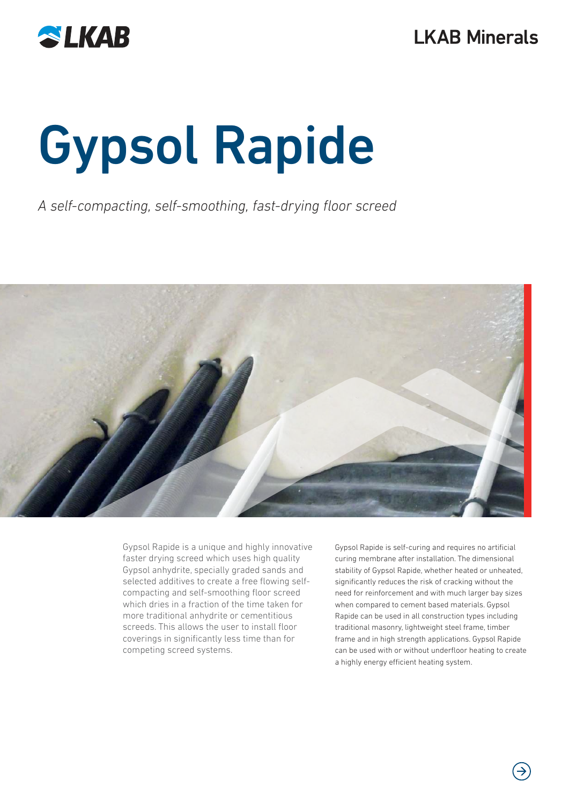

# Gypsol Rapide

A self-compacting, self-smoothing, fast-drying floor screed



Gypsol Rapide is a unique and highly innovative faster drying screed which uses high quality Gypsol anhydrite, specially graded sands and selected additives to create a free flowing selfcompacting and self-smoothing floor screed which dries in a fraction of the time taken for more traditional anhydrite or cementitious screeds. This allows the user to install floor coverings in significantly less time than for competing screed systems.

Gypsol Rapide is self-curing and requires no artificial curing membrane after installation. The dimensional stability of Gypsol Rapide, whether heated or unheated, significantly reduces the risk of cracking without the need for reinforcement and with much larger bay sizes when compared to cement based materials. Gypsol Rapide can be used in all construction types including traditional masonry, lightweight steel frame, timber frame and in high strength applications. Gypsol Rapide can be used with or without underfloor heating to create a highly energy efficient heating system.